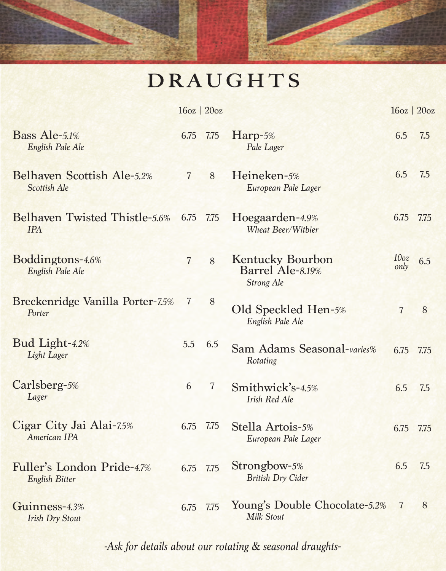## **DRAUGHTS**

|                                                     |                | $16oz$   $20oz$ |                                                                  | $16oz$   $20oz$          |      |
|-----------------------------------------------------|----------------|-----------------|------------------------------------------------------------------|--------------------------|------|
| Bass Ale-5.1%<br>English Pale Ale                   | 6.75           | 7.75            | Harp-5%<br>Pale Lager                                            | 6.5                      | 7.5  |
| Belhaven Scottish Ale-5.2%<br>Scottish Ale          | $\overline{7}$ | 8               | Heineken-5%<br>European Pale Lager                               | 6.5                      | 7.5  |
| Belhaven Twisted Thistle-5.6%<br><b>TPA</b>         | 6.75           | 7.75            | Hoegaarden-4.9%<br>Wheat Beer/Witbier                            | 6.75                     | 7.75 |
| Boddingtons-4.6%<br>English Pale Ale                | $\overline{7}$ | 8               | <b>Kentucky Bourbon</b><br>Barrel Ale-8.19%<br><b>Strong Ale</b> | 10 <sub>oz</sub><br>only | 6.5  |
| Breckenridge Vanilla Porter-7.5%<br>Porter          | 7              | 8               | Old Speckled Hen-5%<br>English Pale Ale                          | $\overline{7}$           | 8    |
| Bud Light-4.2%<br>Light Lager                       | 5.5            | 6.5             | Sam Adams Seasonal-varies%<br>Rotating                           | 6.75 7.75                |      |
| Carlsberg-5%<br>Lager                               | 6              | $\overline{7}$  | Smithwick's-4.5%<br><b>Irish Red Ale</b>                         | 6.5                      | 7.5  |
| Cigar City Jai Alai-7.5%<br>American IPA            | 6.75           | 7.75            | Stella Artois-5%<br>European Pale Lager                          | 6.75                     | 7.75 |
| Fuller's London Pride-4.7%<br><b>English Bitter</b> |                | 6.75 7.75       | Strongbow-5%<br><b>British Dry Cider</b>                         | 6.5                      | 7.5  |
| Guinness-4.3%<br><b>Irish Dry Stout</b>             | 6.75           | 7.75            | Young's Double Chocolate-5.2%<br><b>Milk Stout</b>               | $\overline{7}$           | 8    |

*-Ask for details about our rotating & seasonal draughts-*